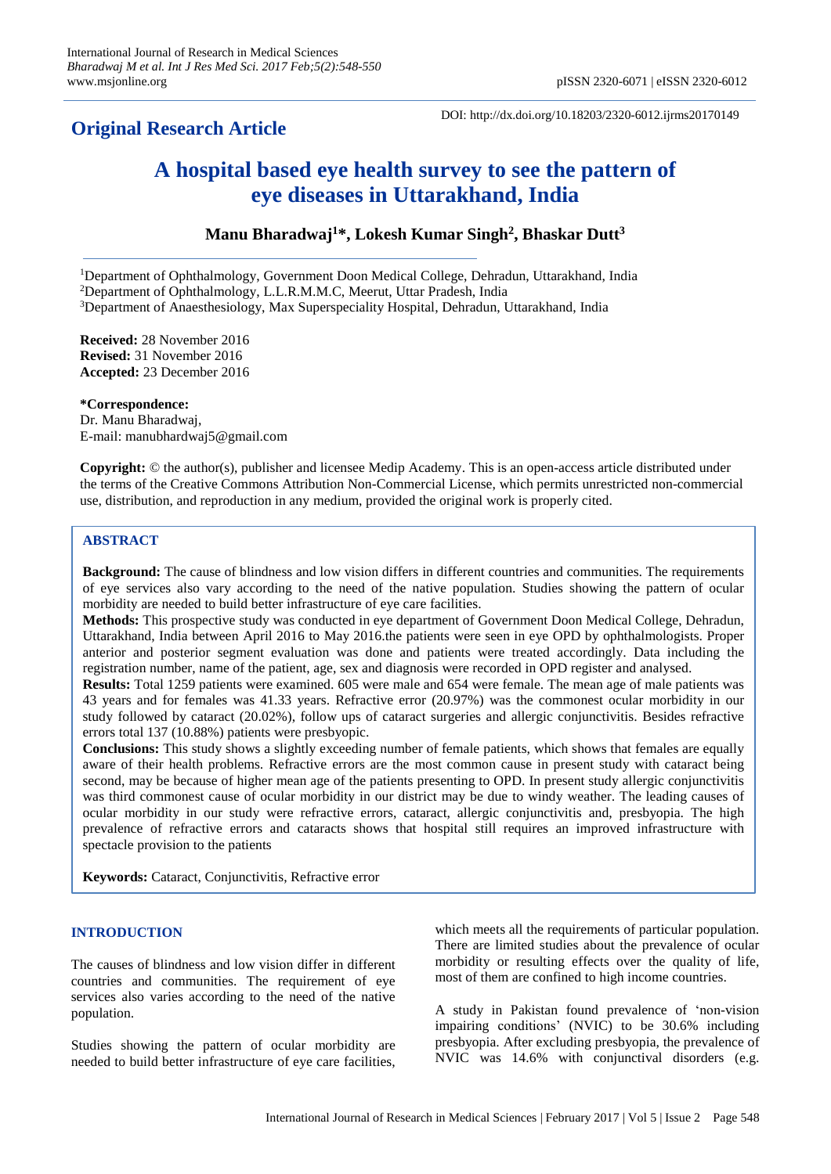# **Original Research Article**

DOI: http://dx.doi.org/10.18203/2320-6012.ijrms20170149

# **A hospital based eye health survey to see the pattern of eye diseases in Uttarakhand, India**

# **Manu Bharadwaj<sup>1</sup>\*, Lokesh Kumar Singh<sup>2</sup> , Bhaskar Dutt<sup>3</sup>**

<sup>1</sup>Department of Ophthalmology, Government Doon Medical College, Dehradun, Uttarakhand, India <sup>2</sup>Department of Ophthalmology, L.L.R.M.M.C, Meerut, Uttar Pradesh, India <sup>3</sup>Department of Anaesthesiology, Max Superspeciality Hospital, Dehradun, Uttarakhand, India

**Received:** 28 November 2016 **Revised:** 31 November 2016 **Accepted:** 23 December 2016

**\*Correspondence:** Dr. Manu Bharadwaj, E-mail: manubhardwaj5@gmail.com

**Copyright:** © the author(s), publisher and licensee Medip Academy. This is an open-access article distributed under the terms of the Creative Commons Attribution Non-Commercial License, which permits unrestricted non-commercial use, distribution, and reproduction in any medium, provided the original work is properly cited.

# **ABSTRACT**

**Background:** The cause of blindness and low vision differs in different countries and communities. The requirements of eye services also vary according to the need of the native population. Studies showing the pattern of ocular morbidity are needed to build better infrastructure of eye care facilities.

**Methods:** This prospective study was conducted in eye department of Government Doon Medical College, Dehradun, Uttarakhand, India between April 2016 to May 2016.the patients were seen in eye OPD by ophthalmologists. Proper anterior and posterior segment evaluation was done and patients were treated accordingly. Data including the registration number, name of the patient, age, sex and diagnosis were recorded in OPD register and analysed.

**Results:** Total 1259 patients were examined. 605 were male and 654 were female. The mean age of male patients was 43 years and for females was 41.33 years. Refractive error (20.97%) was the commonest ocular morbidity in our study followed by cataract (20.02%), follow ups of cataract surgeries and allergic conjunctivitis. Besides refractive errors total 137 (10.88%) patients were presbyopic.

**Conclusions:** This study shows a slightly exceeding number of female patients, which shows that females are equally aware of their health problems. Refractive errors are the most common cause in present study with cataract being second, may be because of higher mean age of the patients presenting to OPD. In present study allergic conjunctivitis was third commonest cause of ocular morbidity in our district may be due to windy weather. The leading causes of ocular morbidity in our study were refractive errors, cataract, allergic conjunctivitis and, presbyopia. The high prevalence of refractive errors and cataracts shows that hospital still requires an improved infrastructure with spectacle provision to the patients

**Keywords:** Cataract, Conjunctivitis, Refractive error

# **INTRODUCTION**

The causes of blindness and low vision differ in different countries and communities. The requirement of eye services also varies according to the need of the native population.

Studies showing the pattern of ocular morbidity are needed to build better infrastructure of eye care facilities, which meets all the requirements of particular population. There are limited studies about the prevalence of ocular morbidity or resulting effects over the quality of life, most of them are confined to high income countries.

A study in Pakistan found prevalence of 'non-vision impairing conditions' (NVIC) to be 30.6% including presbyopia. After excluding presbyopia, the prevalence of NVIC was 14.6% with conjunctival disorders (e.g.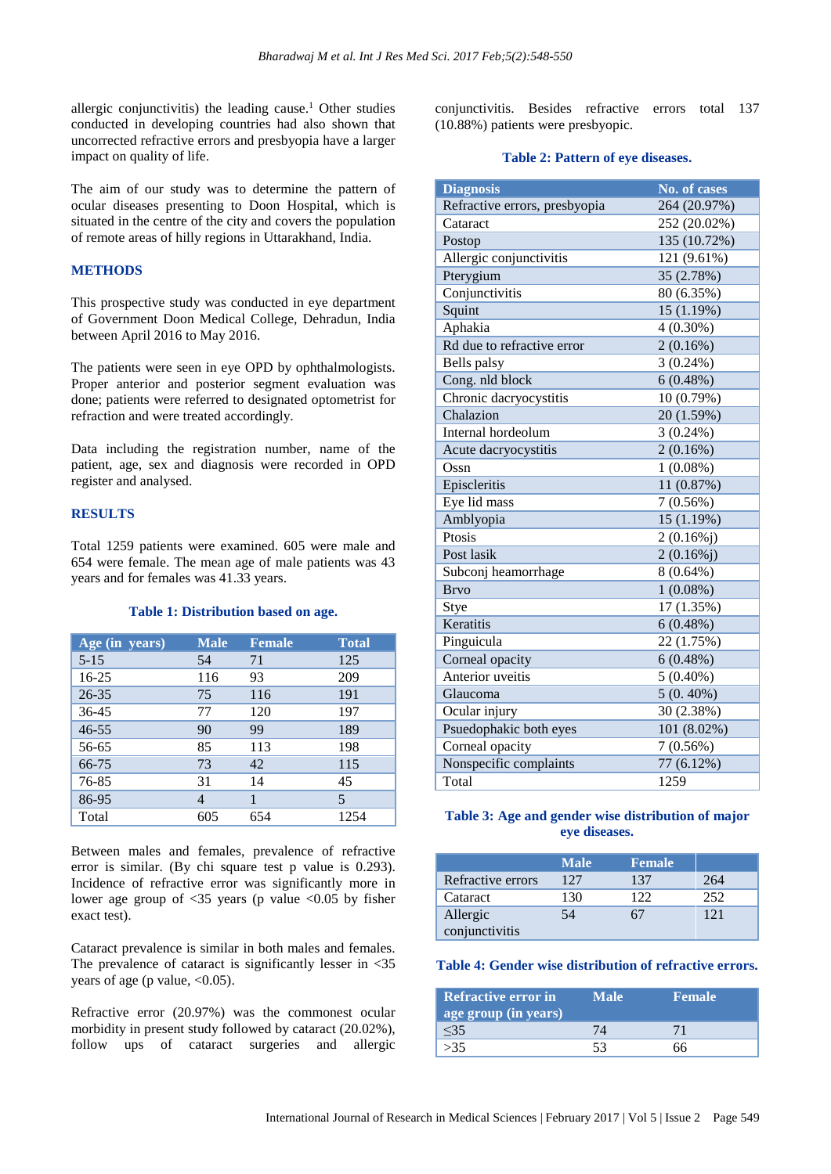allergic conjunctivitis) the leading cause.<sup>1</sup> Other studies conducted in developing countries had also shown that uncorrected refractive errors and presbyopia have a larger impact on quality of life.

The aim of our study was to determine the pattern of ocular diseases presenting to Doon Hospital, which is situated in the centre of the city and covers the population of remote areas of hilly regions in Uttarakhand, India.

## **METHODS**

This prospective study was conducted in eye department of Government Doon Medical College, Dehradun, India between April 2016 to May 2016.

The patients were seen in eye OPD by ophthalmologists. Proper anterior and posterior segment evaluation was done; patients were referred to designated optometrist for refraction and were treated accordingly.

Data including the registration number, name of the patient, age, sex and diagnosis were recorded in OPD register and analysed.

#### **RESULTS**

Total 1259 patients were examined. 605 were male and 654 were female. The mean age of male patients was 43 years and for females was 41.33 years.

#### **Table 1: Distribution based on age.**

| Age (in years) | <b>Male</b> | <b>Female</b> | <b>Total</b> |
|----------------|-------------|---------------|--------------|
| $5 - 15$       | 54          | 71            | 125          |
| 16-25          | 116         | 93            | 209          |
| $26 - 35$      | 75          | 116           | 191          |
| $36 - 45$      | 77          | 120           | 197          |
| $46 - 55$      | 90          | 99            | 189          |
| 56-65          | 85          | 113           | 198          |
| 66-75          | 73          | 42            | 115          |
| 76-85          | 31          | 14            | 45           |
| 86-95          | 4           | 1             | 5            |
| Total          | 605         | 654           | 1254         |

Between males and females, prevalence of refractive error is similar. (By chi square test p value is 0.293). Incidence of refractive error was significantly more in lower age group of  $\langle 35 \rangle$  years (p value  $\langle 0.05 \rangle$  by fisher exact test).

Cataract prevalence is similar in both males and females. The prevalence of cataract is significantly lesser in  $\langle 35 \rangle$ years of age (p value,  $<0.05$ ).

Refractive error (20.97%) was the commonest ocular morbidity in present study followed by cataract (20.02%), follow ups of cataract surgeries and allergic

conjunctivitis. Besides refractive errors total 137 (10.88%) patients were presbyopic.

#### **Table 2: Pattern of eye diseases.**

| <b>Diagnosis</b>              | <b>No. of cases</b> |
|-------------------------------|---------------------|
| Refractive errors, presbyopia | 264 (20.97%)        |
| Cataract                      | 252 (20.02%)        |
| Postop                        | 135 (10.72%)        |
| Allergic conjunctivitis       | 121 (9.61%)         |
| Pterygium                     | 35 (2.78%)          |
| Conjunctivitis                | 80 (6.35%)          |
| Squint                        | 15 (1.19%)          |
| Aphakia                       | $4(0.30\%)$         |
| Rd due to refractive error    | 2(0.16%)            |
| Bells palsy                   | $3(0.24\%)$         |
| Cong. nld block               | 6(0.48%)            |
| Chronic dacryocystitis        | 10 (0.79%)          |
| Chalazion                     | 20 (1.59%)          |
| Internal hordeolum            | $3(0.24\%)$         |
| Acute dacryocystitis          | $2(0.16\%)$         |
| Ossn                          | $1(0.08\%)$         |
| Episcleritis                  | 11 (0.87%)          |
| Eye lid mass                  | $7(0.56\%)$         |
| Amblyopia                     | 15 (1.19%)          |
| Ptosis                        | $2(0.16\%j)$        |
| Post lasik                    | $2(0.16\%j)$        |
| Subconj heamorrhage           | $8(0.64\%)$         |
| <b>Brvo</b>                   | $1(0.08\%)$         |
| Stye                          | 17 (1.35%)          |
| Keratitis                     | 6(0.48%)            |
| Pinguicula                    | 22 (1.75%)          |
| Corneal opacity               | $6(0.48\%)$         |
| Anterior uveitis              | $5(0.40\%)$         |
| Glaucoma                      | $5(0.40\%)$         |
| Ocular injury                 | 30 (2.38%)          |
| Psuedophakic both eyes        | 101 (8.02%)         |
| Corneal opacity               | $7(0.56\%)$         |
| Nonspecific complaints        | 77 (6.12%)          |
| Total                         | 1259                |

### **Table 3: Age and gender wise distribution of major eye diseases.**

|                   | <b>Male</b> | <b>Female</b> |     |
|-------------------|-------------|---------------|-----|
| Refractive errors | 127         | 137           | 264 |
| Cataract          | 130         | 122           | 252 |
| Allergic          | 54          |               | 121 |
| conjunctivitis    |             |               |     |

#### **Table 4: Gender wise distribution of refractive errors.**

| Refractive error in<br>age group (in years) | Male) | <b>Female</b> |
|---------------------------------------------|-------|---------------|
| $<$ 35                                      |       |               |
| >35                                         | 53    |               |